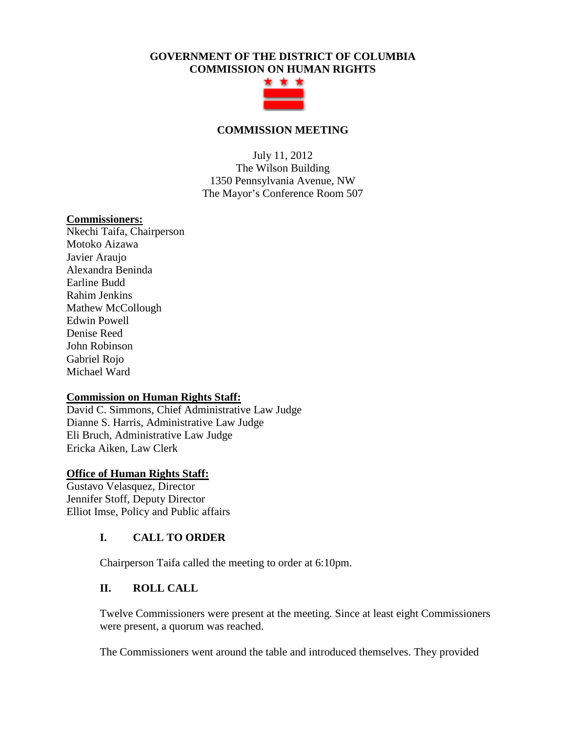# **GOVERNMENT OF THE DISTRICT OF COLUMBIA COMMISSION ON HUMAN RIGHTS**



### **COMMISSION MEETING**

July 11, 2012 The Wilson Building 1350 Pennsylvania Avenue, NW The Mayor's Conference Room 507

#### **Commissioners:**

Nkechi Taifa, Chairperson Motoko Aizawa Javier Araujo Alexandra Beninda Earline Budd Rahim Jenkins Mathew McCollough Edwin Powell Denise Reed John Robinson Gabriel Rojo Michael Ward

### **Commission on Human Rights Staff:**

David C. Simmons, Chief Administrative Law Judge Dianne S. Harris, Administrative Law Judge Eli Bruch, Administrative Law Judge Ericka Aiken, Law Clerk

### **Office of Human Rights Staff:**

Gustavo Velasquez, Director Jennifer Stoff, Deputy Director Elliot Imse, Policy and Public affairs

## **I. CALL TO ORDER**

Chairperson Taifa called the meeting to order at 6:10pm.

## **II. ROLL CALL**

Twelve Commissioners were present at the meeting. Since at least eight Commissioners were present, a quorum was reached.

The Commissioners went around the table and introduced themselves. They provided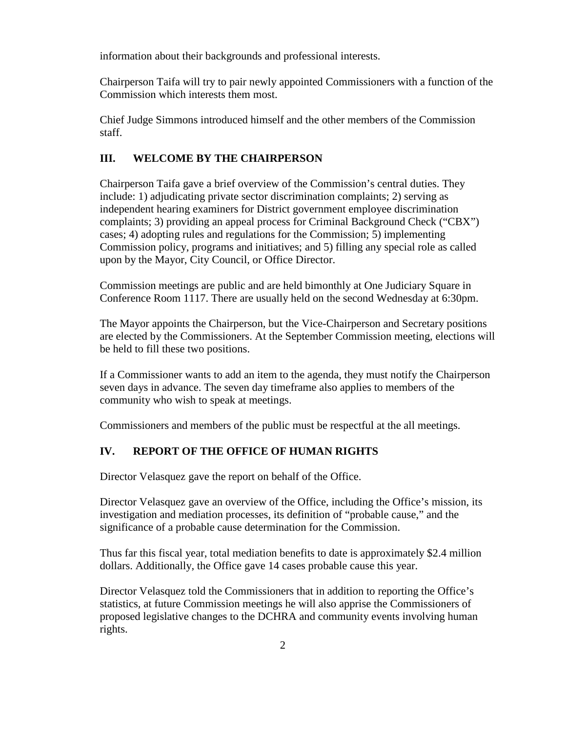information about their backgrounds and professional interests.

Chairperson Taifa will try to pair newly appointed Commissioners with a function of the Commission which interests them most.

Chief Judge Simmons introduced himself and the other members of the Commission staff.

### **III. WELCOME BY THE CHAIRPERSON**

Chairperson Taifa gave a brief overview of the Commission's central duties. They include: 1) adjudicating private sector discrimination complaints; 2) serving as independent hearing examiners for District government employee discrimination complaints; 3) providing an appeal process for Criminal Background Check ("CBX") cases; 4) adopting rules and regulations for the Commission; 5) implementing Commission policy, programs and initiatives; and 5) filling any special role as called upon by the Mayor, City Council, or Office Director.

Commission meetings are public and are held bimonthly at One Judiciary Square in Conference Room 1117. There are usually held on the second Wednesday at 6:30pm.

The Mayor appoints the Chairperson, but the Vice-Chairperson and Secretary positions are elected by the Commissioners. At the September Commission meeting, elections will be held to fill these two positions.

If a Commissioner wants to add an item to the agenda, they must notify the Chairperson seven days in advance. The seven day timeframe also applies to members of the community who wish to speak at meetings.

Commissioners and members of the public must be respectful at the all meetings.

### **IV. REPORT OF THE OFFICE OF HUMAN RIGHTS**

Director Velasquez gave the report on behalf of the Office.

Director Velasquez gave an overview of the Office, including the Office's mission, its investigation and mediation processes, its definition of "probable cause," and the significance of a probable cause determination for the Commission.

Thus far this fiscal year, total mediation benefits to date is approximately \$2.4 million dollars. Additionally, the Office gave 14 cases probable cause this year.

Director Velasquez told the Commissioners that in addition to reporting the Office's statistics, at future Commission meetings he will also apprise the Commissioners of proposed legislative changes to the DCHRA and community events involving human rights.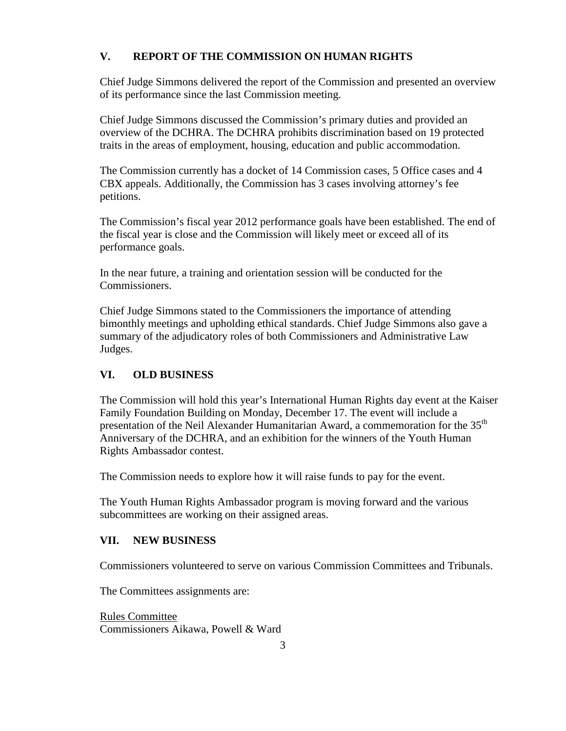# **V. REPORT OF THE COMMISSION ON HUMAN RIGHTS**

Chief Judge Simmons delivered the report of the Commission and presented an overview of its performance since the last Commission meeting.

Chief Judge Simmons discussed the Commission's primary duties and provided an overview of the DCHRA. The DCHRA prohibits discrimination based on 19 protected traits in the areas of employment, housing, education and public accommodation.

The Commission currently has a docket of 14 Commission cases, 5 Office cases and 4 CBX appeals. Additionally, the Commission has 3 cases involving attorney's fee petitions.

The Commission's fiscal year 2012 performance goals have been established. The end of the fiscal year is close and the Commission will likely meet or exceed all of its performance goals.

In the near future, a training and orientation session will be conducted for the Commissioners.

Chief Judge Simmons stated to the Commissioners the importance of attending bimonthly meetings and upholding ethical standards. Chief Judge Simmons also gave a summary of the adjudicatory roles of both Commissioners and Administrative Law Judges.

# **VI. OLD BUSINESS**

The Commission will hold this year's International Human Rights day event at the Kaiser Family Foundation Building on Monday, December 17. The event will include a presentation of the Neil Alexander Humanitarian Award, a commemoration for the 35<sup>th</sup> Anniversary of the DCHRA, and an exhibition for the winners of the Youth Human Rights Ambassador contest.

The Commission needs to explore how it will raise funds to pay for the event.

The Youth Human Rights Ambassador program is moving forward and the various subcommittees are working on their assigned areas.

## **VII. NEW BUSINESS**

Commissioners volunteered to serve on various Commission Committees and Tribunals.

The Committees assignments are:

Rules Committee Commissioners Aikawa, Powell & Ward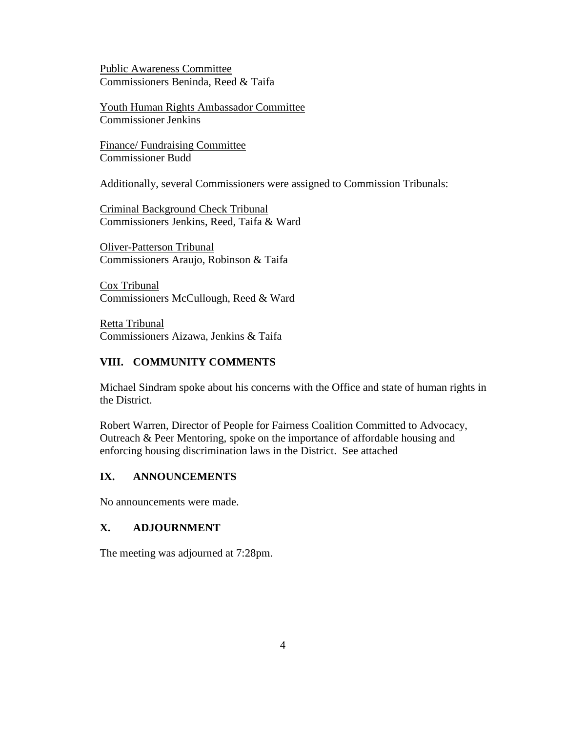Public Awareness Committee Commissioners Beninda, Reed & Taifa

Youth Human Rights Ambassador Committee Commissioner Jenkins

Finance/ Fundraising Committee Commissioner Budd

Additionally, several Commissioners were assigned to Commission Tribunals:

Criminal Background Check Tribunal Commissioners Jenkins, Reed, Taifa & Ward

Oliver-Patterson Tribunal Commissioners Araujo, Robinson & Taifa

Cox Tribunal Commissioners McCullough, Reed & Ward

Retta Tribunal Commissioners Aizawa, Jenkins & Taifa

#### **VIII. COMMUNITY COMMENTS**

Michael Sindram spoke about his concerns with the Office and state of human rights in the District.

Robert Warren, Director of People for Fairness Coalition Committed to Advocacy, Outreach & Peer Mentoring, spoke on the importance of affordable housing and enforcing housing discrimination laws in the District. See attached

#### **IX. ANNOUNCEMENTS**

No announcements were made.

### **X. ADJOURNMENT**

The meeting was adjourned at 7:28pm.